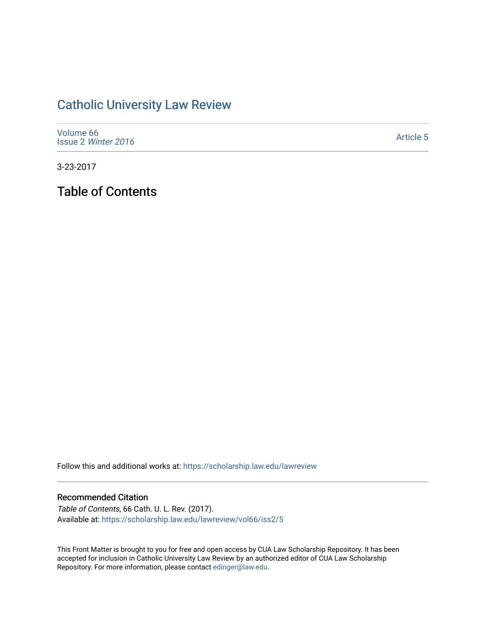# [Catholic University Law Review](https://scholarship.law.edu/lawreview)

| Volume 66<br>Issue 2 Winter 2016 | <b>Article 5</b> |
|----------------------------------|------------------|
|----------------------------------|------------------|

3-23-2017

Table of Contents

Follow this and additional works at: [https://scholarship.law.edu/lawreview](https://scholarship.law.edu/lawreview?utm_source=scholarship.law.edu%2Flawreview%2Fvol66%2Fiss2%2F5&utm_medium=PDF&utm_campaign=PDFCoverPages)

### Recommended Citation

Table of Contents, 66 Cath. U. L. Rev. (2017). Available at: [https://scholarship.law.edu/lawreview/vol66/iss2/5](https://scholarship.law.edu/lawreview/vol66/iss2/5?utm_source=scholarship.law.edu%2Flawreview%2Fvol66%2Fiss2%2F5&utm_medium=PDF&utm_campaign=PDFCoverPages)

This Front Matter is brought to you for free and open access by CUA Law Scholarship Repository. It has been accepted for inclusion in Catholic University Law Review by an authorized editor of CUA Law Scholarship Repository. For more information, please contact [edinger@law.edu.](mailto:edinger@law.edu)